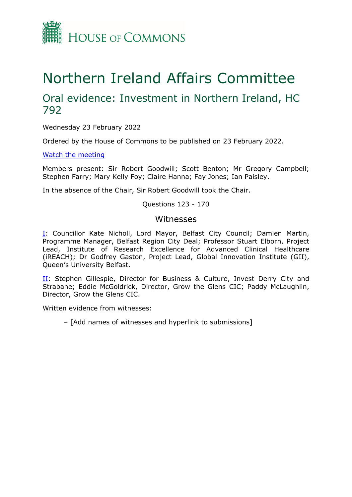

# Northern Ireland Affairs Committee

# Oral evidence: Investment in Northern Ireland, HC 792

Wednesday 23 February 2022

Ordered by the House of Commons to be published on 23 February 2022.

[Watch](https://parliamentlive.tv/Event/Index/bc517b43-0fb6-4ac2-b02a-041f1c51622c) [the](https://parliamentlive.tv/Event/Index/bc517b43-0fb6-4ac2-b02a-041f1c51622c) [meeting](https://parliamentlive.tv/Event/Index/bc517b43-0fb6-4ac2-b02a-041f1c51622c)

Members present: Sir Robert Goodwill; Scott Benton; Mr Gregory Campbell; Stephen Farry; Mary Kelly Foy; Claire Hanna; Fay Jones; Ian Paisley.

In the absence of the Chair, Sir Robert Goodwill took the Chair.

Questions 123 - 170

#### Witnesses

[I:](#page-1-0) Councillor Kate Nicholl, Lord Mayor, Belfast City Council; Damien Martin, Programme Manager, Belfast Region City Deal; Professor Stuart Elborn, Project Lead, Institute of Research Excellence for Advanced Clinical Healthcare (iREACH); Dr Godfrey Gaston, Project Lead, Global Innovation Institute (GII), Queen's University Belfast.

[II](#page-18-0): Stephen Gillespie, Director for Business & Culture, Invest Derry City and Strabane; Eddie McGoldrick, Director, Grow the Glens CIC; Paddy McLaughlin, Director, Grow the Glens CIC.

Written evidence from witnesses:

– [Add names of witnesses and hyperlink to submissions]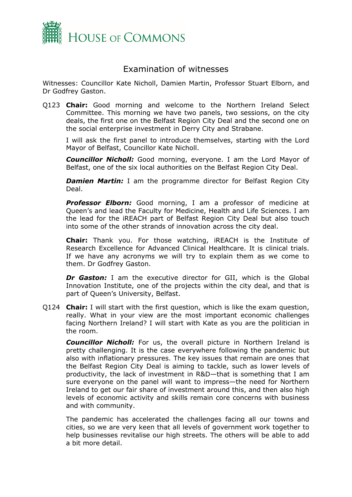

## <span id="page-1-0"></span>Examination of witnesses

Witnesses: Councillor Kate Nicholl, Damien Martin, Professor Stuart Elborn, and Dr Godfrey Gaston.

Q123 **Chair:** Good morning and welcome to the Northern Ireland Select Committee. This morning we have two panels, two sessions, on the city deals, the first one on the Belfast Region City Deal and the second one on the social enterprise investment in Derry City and Strabane.

I will ask the first panel to introduce themselves, starting with the Lord Mayor of Belfast, Councillor Kate Nicholl.

*Councillor Nicholl:* Good morning, everyone. I am the Lord Mayor of Belfast, one of the six local authorities on the Belfast Region City Deal.

**Damien Martin:** I am the programme director for Belfast Region City Deal.

**Professor Elborn:** Good morning, I am a professor of medicine at Queen's and lead the Faculty for Medicine, Health and Life Sciences. I am the lead for the iREACH part of Belfast Region City Deal but also touch into some of the other strands of innovation across the city deal.

**Chair:** Thank you. For those watching, iREACH is the Institute of Research Excellence for Advanced Clinical Healthcare. It is clinical trials. If we have any acronyms we will try to explain them as we come to them. Dr Godfrey Gaston.

**Dr Gaston:** I am the executive director for GII, which is the Global Innovation Institute, one of the projects within the city deal, and that is part of Queen's University, Belfast.

Q124 **Chair:** I will start with the first question, which is like the exam question, really. What in your view are the most important economic challenges facing Northern Ireland? I will start with Kate as you are the politician in the room.

*Councillor Nicholl:* For us, the overall picture in Northern Ireland is pretty challenging. It is the case everywhere following the pandemic but also with inflationary pressures. The key issues that remain are ones that the Belfast Region City Deal is aiming to tackle, such as lower levels of productivity, the lack of investment in R&D—that is something that I am sure everyone on the panel will want to impress—the need for Northern Ireland to get our fair share of investment around this, and then also high levels of economic activity and skills remain core concerns with business and with community.

The pandemic has accelerated the challenges facing all our towns and cities, so we are very keen that all levels of government work together to help businesses revitalise our high streets. The others will be able to add a bit more detail.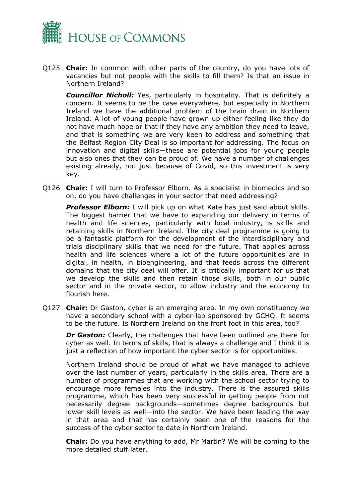

Q125 **Chair:** In common with other parts of the country, do you have lots of vacancies but not people with the skills to fill them? Is that an issue in Northern Ireland?

**Councillor Nicholl:** Yes, particularly in hospitality. That is definitely a concern. It seems to be the case everywhere, but especially in Northern Ireland we have the additional problem of the brain drain in Northern Ireland. A lot of young people have grown up either feeling like they do not have much hope or that if they have any ambition they need to leave, and that is something we are very keen to address and something that the Belfast Region City Deal is so important for addressing. The focus on innovation and digital skills—these are potential jobs for young people but also ones that they can be proud of. We have a number of challenges existing already, not just because of Covid, so this investment is very key.

Q126 **Chair:** I will turn to Professor Elborn. As a specialist in biomedics and so on, do you have challenges in your sector that need addressing?

**Professor Elborn:** I will pick up on what Kate has just said about skills. The biggest barrier that we have to expanding our delivery in terms of health and life sciences, particularly with local industry, is skills and retaining skills in Northern Ireland. The city deal programme is going to be a fantastic platform for the development of the interdisciplinary and trials disciplinary skills that we need for the future. That applies across health and life sciences where a lot of the future opportunities are in digital, in health, in bioengineering, and that feeds across the different domains that the city deal will offer. It is critically important for us that we develop the skills and then retain those skills, both in our public sector and in the private sector, to allow industry and the economy to flourish here.

Q127 **Chair:** Dr Gaston, cyber is an emerging area. In my own constituency we have a secondary school with a cyber-lab sponsored by GCHQ. It seems to be the future. Is Northern Ireland on the front foot in this area, too?

**Dr Gaston:** Clearly, the challenges that have been outlined are there for cyber as well. In terms of skills, that is always a challenge and I think it is just a reflection of how important the cyber sector is for opportunities.

Northern Ireland should be proud of what we have managed to achieve over the last number of years, particularly in the skills area. There are a number of programmes that are working with the school sector trying to encourage more females into the industry. There is the assured skills programme, which has been very successful in getting people from not necessarily degree backgrounds—sometimes degree backgrounds but lower skill levels as well—into the sector. We have been leading the way in that area and that has certainly been one of the reasons for the success of the cyber sector to date in Northern Ireland.

**Chair:** Do you have anything to add, Mr Martin? We will be coming to the more detailed stuff later.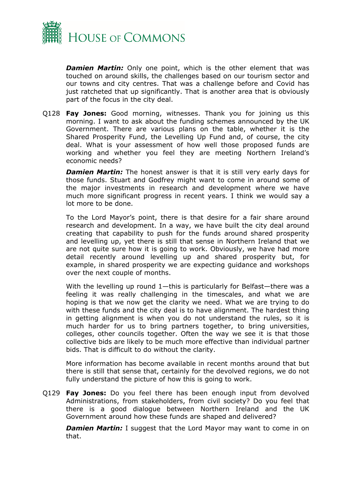

**Damien Martin:** Only one point, which is the other element that was touched on around skills, the challenges based on our tourism sector and our towns and city centres. That was a challenge before and Covid has just ratcheted that up significantly. That is another area that is obviously part of the focus in the city deal.

Q128 **Fay Jones:** Good morning, witnesses. Thank you for joining us this morning. I want to ask about the funding schemes announced by the UK Government. There are various plans on the table, whether it is the Shared Prosperity Fund, the Levelling Up Fund and, of course, the city deal. What is your assessment of how well those proposed funds are working and whether you feel they are meeting Northern Ireland's economic needs?

*Damien Martin:* The honest answer is that it is still very early days for those funds. Stuart and Godfrey might want to come in around some of the major investments in research and development where we have much more significant progress in recent years. I think we would say a lot more to be done.

To the Lord Mayor's point, there is that desire for a fair share around research and development. In a way, we have built the city deal around creating that capability to push for the funds around shared prosperity and levelling up, yet there is still that sense in Northern Ireland that we are not quite sure how it is going to work. Obviously, we have had more detail recently around levelling up and shared prosperity but, for example, in shared prosperity we are expecting guidance and workshops over the next couple of months.

With the levelling up round 1—this is particularly for Belfast—there was a feeling it was really challenging in the timescales, and what we are hoping is that we now get the clarity we need. What we are trying to do with these funds and the city deal is to have alignment. The hardest thing in getting alignment is when you do not understand the rules, so it is much harder for us to bring partners together, to bring universities, colleges, other councils together. Often the way we see it is that those collective bids are likely to be much more effective than individual partner bids. That is difficult to do without the clarity.

More information has become available in recent months around that but there is still that sense that, certainly for the devolved regions, we do not fully understand the picture of how this is going to work.

Q129 **Fay Jones:** Do you feel there has been enough input from devolved Administrations, from stakeholders, from civil society? Do you feel that there is a good dialogue between Northern Ireland and the UK Government around how these funds are shaped and delivered?

*Damien Martin:* I suggest that the Lord Mayor may want to come in on that.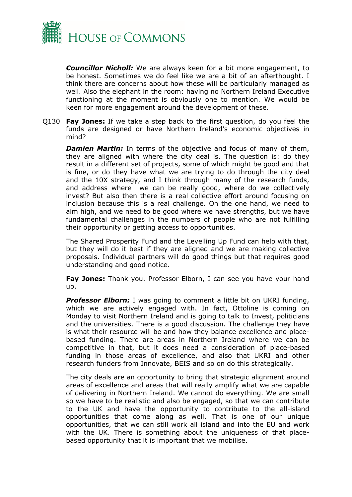

*Councillor Nicholl:* We are always keen for a bit more engagement, to be honest. Sometimes we do feel like we are a bit of an afterthought. I think there are concerns about how these will be particularly managed as well. Also the elephant in the room: having no Northern Ireland Executive functioning at the moment is obviously one to mention. We would be keen for more engagement around the development of these.

Q130 **Fay Jones:** If we take a step back to the first question, do you feel the funds are designed or have Northern Ireland's economic objectives in mind?

*Damien Martin:* In terms of the objective and focus of many of them, they are aligned with where the city deal is. The question is: do they result in a different set of projects, some of which might be good and that is fine, or do they have what we are trying to do through the city deal and the 10X strategy, and I think through many of the research funds, and address where we can be really good, where do we collectively invest? But also then there is a real collective effort around focusing on inclusion because this is a real challenge. On the one hand, we need to aim high, and we need to be good where we have strengths, but we have fundamental challenges in the numbers of people who are not fulfilling their opportunity or getting access to opportunities.

The Shared Prosperity Fund and the Levelling Up Fund can help with that, but they will do it best if they are aligned and we are making collective proposals. Individual partners will do good things but that requires good understanding and good notice.

**Fay Jones:** Thank you. Professor Elborn, I can see you have your hand up.

**Professor Elborn:** I was going to comment a little bit on UKRI funding, which we are actively engaged with. In fact, Ottoline is coming on Monday to visit Northern Ireland and is going to talk to Invest, politicians and the universities. There is a good discussion. The challenge they have is what their resource will be and how they balance excellence and placebased funding. There are areas in Northern Ireland where we can be competitive in that, but it does need a consideration of place-based funding in those areas of excellence, and also that UKRI and other research funders from Innovate, BEIS and so on do this strategically.

The city deals are an opportunity to bring that strategic alignment around areas of excellence and areas that will really amplify what we are capable of delivering in Northern Ireland. We cannot do everything. We are small so we have to be realistic and also be engaged, so that we can contribute to the UK and have the opportunity to contribute to the all-island opportunities that come along as well. That is one of our unique opportunities, that we can still work all island and into the EU and work with the UK. There is something about the uniqueness of that placebased opportunity that it is important that we mobilise.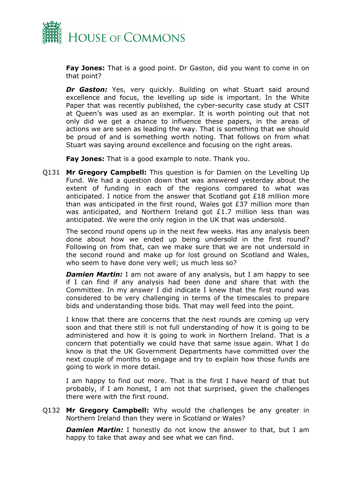

**Fay Jones:** That is a good point. Dr Gaston, did you want to come in on that point?

**Dr Gaston:** Yes, very quickly. Building on what Stuart said around excellence and focus, the levelling up side is important. In the White Paper that was recently published, the cyber-security case study at CSIT at Queen's was used as an exemplar. It is worth pointing out that not only did we get a chance to influence these papers, in the areas of actions we are seen as leading the way. That is something that we should be proud of and is something worth noting. That follows on from what Stuart was saying around excellence and focusing on the right areas.

**Fay Jones:** That is a good example to note. Thank you.

Q131 **Mr Gregory Campbell:** This question is for Damien on the Levelling Up Fund. We had a question down that was answered yesterday about the extent of funding in each of the regions compared to what was anticipated. I notice from the answer that Scotland got £18 million more than was anticipated in the first round, Wales got £37 million more than was anticipated, and Northern Ireland got £1.7 million less than was anticipated. We were the only region in the UK that was undersold.

The second round opens up in the next few weeks. Has any analysis been done about how we ended up being undersold in the first round? Following on from that, can we make sure that we are not undersold in the second round and make up for lost ground on Scotland and Wales, who seem to have done very well; us much less so?

*Damien Martin:* I am not aware of any analysis, but I am happy to see if I can find if any analysis had been done and share that with the Committee. In my answer I did indicate I knew that the first round was considered to be very challenging in terms of the timescales to prepare bids and understanding those bids. That may well feed into the point.

I know that there are concerns that the next rounds are coming up very soon and that there still is not full understanding of how it is going to be administered and how it is going to work in Northern Ireland. That is a concern that potentially we could have that same issue again. What I do know is that the UK Government Departments have committed over the next couple of months to engage and try to explain how those funds are going to work in more detail.

I am happy to find out more. That is the first I have heard of that but probably, if I am honest, I am not that surprised, given the challenges there were with the first round.

Q132 **Mr Gregory Campbell:** Why would the challenges be any greater in Northern Ireland than they were in Scotland or Wales?

*Damien Martin:* I honestly do not know the answer to that, but I am happy to take that away and see what we can find.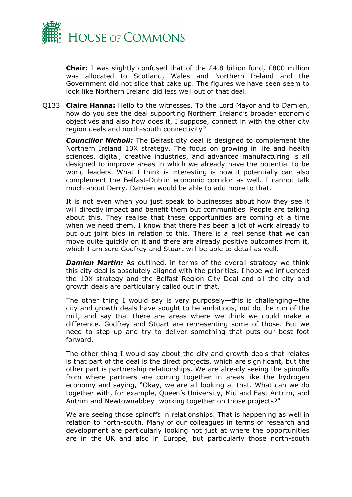

**Chair:** I was slightly confused that of the £4.8 billion fund, £800 million was allocated to Scotland, Wales and Northern Ireland and the Government did not slice that cake up. The figures we have seen seem to look like Northern Ireland did less well out of that deal.

Q133 **Claire Hanna:** Hello to the witnesses. To the Lord Mayor and to Damien, how do you see the deal supporting Northern Ireland's broader economic objectives and also how does it, I suppose, connect in with the other city region deals and north-south connectivity?

*Councillor Nicholl:* The Belfast city deal is designed to complement the Northern Ireland 10X strategy. The focus on growing in life and health sciences, digital, creative industries, and advanced manufacturing is all designed to improve areas in which we already have the potential to be world leaders. What I think is interesting is how it potentially can also complement the Belfast-Dublin economic corridor as well. I cannot talk much about Derry. Damien would be able to add more to that.

It is not even when you just speak to businesses about how they see it will directly impact and benefit them but communities. People are talking about this. They realise that these opportunities are coming at a time when we need them. I know that there has been a lot of work already to put out joint bids in relation to this. There is a real sense that we can move quite quickly on it and there are already positive outcomes from it, which I am sure Godfrey and Stuart will be able to detail as well.

*Damien Martin:* As outlined, in terms of the overall strategy we think this city deal is absolutely aligned with the priorities. I hope we influenced the 10X strategy and the Belfast Region City Deal and all the city and growth deals are particularly called out in that.

The other thing I would say is very purposely—this is challenging—the city and growth deals have sought to be ambitious, not do the run of the mill, and say that there are areas where we think we could make a difference. Godfrey and Stuart are representing some of those. But we need to step up and try to deliver something that puts our best foot forward.

The other thing I would say about the city and growth deals that relates is that part of the deal is the direct projects, which are significant, but the other part is partnership relationships. We are already seeing the spinoffs from where partners are coming together in areas like the hydrogen economy and saying, "Okay, we are all looking at that. What can we do together with, for example, Queen's University, Mid and East Antrim, and Antrim and Newtownabbey working together on those projects?"

We are seeing those spinoffs in relationships. That is happening as well in relation to north-south. Many of our colleagues in terms of research and development are particularly looking not just at where the opportunities are in the UK and also in Europe, but particularly those north-south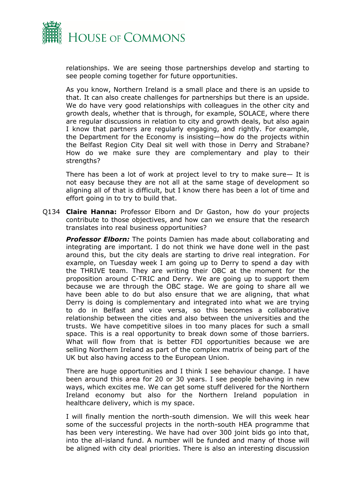

relationships. We are seeing those partnerships develop and starting to see people coming together for future opportunities.

As you know, Northern Ireland is a small place and there is an upside to that. It can also create challenges for partnerships but there is an upside. We do have very good relationships with colleagues in the other city and growth deals, whether that is through, for example, SOLACE, where there are regular discussions in relation to city and growth deals, but also again I know that partners are regularly engaging, and rightly. For example, the Department for the Economy is insisting—how do the projects within the Belfast Region City Deal sit well with those in Derry and Strabane? How do we make sure they are complementary and play to their strengths?

There has been a lot of work at project level to try to make sure— It is not easy because they are not all at the same stage of development so aligning all of that is difficult, but I know there has been a lot of time and effort going in to try to build that.

Q134 **Claire Hanna:** Professor Elborn and Dr Gaston, how do your projects contribute to those objectives, and how can we ensure that the research translates into real business opportunities?

**Professor Elborn:** The points Damien has made about collaborating and integrating are important. I do not think we have done well in the past around this, but the city deals are starting to drive real integration. For example, on Tuesday week I am going up to Derry to spend a day with the THRIVE team. They are writing their OBC at the moment for the proposition around C-TRIC and Derry. We are going up to support them because we are through the OBC stage. We are going to share all we have been able to do but also ensure that we are aligning, that what Derry is doing is complementary and integrated into what we are trying to do in Belfast and vice versa, so this becomes a collaborative relationship between the cities and also between the universities and the trusts. We have competitive siloes in too many places for such a small space. This is a real opportunity to break down some of those barriers. What will flow from that is better FDI opportunities because we are selling Northern Ireland as part of the complex matrix of being part of the UK but also having access to the European Union.

There are huge opportunities and I think I see behaviour change. I have been around this area for 20 or 30 years. I see people behaving in new ways, which excites me. We can get some stuff delivered for the Northern Ireland economy but also for the Northern Ireland population in healthcare delivery, which is my space.

I will finally mention the north-south dimension. We will this week hear some of the successful projects in the north-south HEA programme that has been very interesting. We have had over 300 joint bids go into that, into the all-island fund. A number will be funded and many of those will be aligned with city deal priorities. There is also an interesting discussion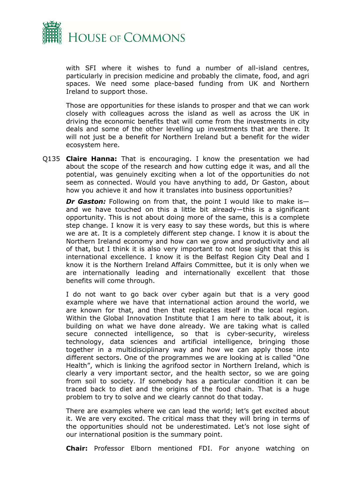

with SFI where it wishes to fund a number of all-island centres, particularly in precision medicine and probably the climate, food, and agri spaces. We need some place-based funding from UK and Northern Ireland to support those.

Those are opportunities for these islands to prosper and that we can work closely with colleagues across the island as well as across the UK in driving the economic benefits that will come from the investments in city deals and some of the other levelling up investments that are there. It will not just be a benefit for Northern Ireland but a benefit for the wider ecosystem here.

Q135 **Claire Hanna:** That is encouraging. I know the presentation we had about the scope of the research and how cutting edge it was, and all the potential, was genuinely exciting when a lot of the opportunities do not seem as connected. Would you have anything to add, Dr Gaston, about how you achieve it and how it translates into business opportunities?

*Dr Gaston:* Following on from that, the point I would like to make is and we have touched on this a little bit already—this is a significant opportunity. This is not about doing more of the same, this is a complete step change. I know it is very easy to say these words, but this is where we are at. It is a completely different step change. I know it is about the Northern Ireland economy and how can we grow and productivity and all of that, but I think it is also very important to not lose sight that this is international excellence. I know it is the Belfast Region City Deal and I know it is the Northern Ireland Affairs Committee, but it is only when we are internationally leading and internationally excellent that those benefits will come through.

I do not want to go back over cyber again but that is a very good example where we have that international action around the world, we are known for that, and then that replicates itself in the local region. Within the Global Innovation Institute that I am here to talk about, it is building on what we have done already. We are taking what is called secure connected intelligence, so that is cyber-security, wireless technology, data sciences and artificial intelligence, bringing those together in a multidisciplinary way and how we can apply those into different sectors. One of the programmes we are looking at is called "One Health", which is linking the agrifood sector in Northern Ireland, which is clearly a very important sector, and the health sector, so we are going from soil to society. If somebody has a particular condition it can be traced back to diet and the origins of the food chain. That is a huge problem to try to solve and we clearly cannot do that today.

There are examples where we can lead the world; let's get excited about it. We are very excited. The critical mass that they will bring in terms of the opportunities should not be underestimated. Let's not lose sight of our international position is the summary point.

**Chair:** Professor Elborn mentioned FDI. For anyone watching on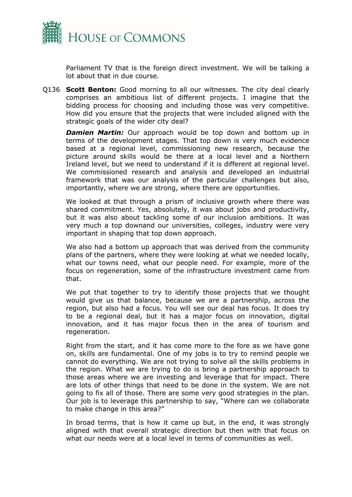

Parliament TV that is the foreign direct investment. We will be talking a lot about that in due course.

Q136 **Scott Benton:** Good morning to all our witnesses. The city deal clearly comprises an ambitious list of different projects. I imagine that the bidding process for choosing and including those was very competitive. How did you ensure that the projects that were included aligned with the strategic goals of the wider city deal?

**Damien Martin:** Our approach would be top down and bottom up in terms of the development stages. That top down is very much evidence based at a regional level, commissioning new research, because the picture around skills would be there at a local level and a Northern Ireland level, but we need to understand if it is different at regional level. We commissioned research and analysis and developed an industrial framework that was our analysis of the particular challenges but also, importantly, where we are strong, where there are opportunities.

We looked at that through a prism of inclusive growth where there was shared commitment. Yes, absolutely, it was about jobs and productivity, but it was also about tackling some of our inclusion ambitions. It was very much a top downand our universities, colleges, industry were very important in shaping that top down approach.

We also had a bottom up approach that was derived from the community plans of the partners, where they were looking at what we needed locally, what our towns need, what our people need. For example, more of the focus on regeneration, some of the infrastructure investment came from that.

We put that together to try to identify those projects that we thought would give us that balance, because we are a partnership, across the region, but also had a focus. You will see our deal has focus. It does try to be a regional deal, but it has a major focus on innovation, digital innovation, and it has major focus then in the area of tourism and regeneration.

Right from the start, and it has come more to the fore as we have gone on, skills are fundamental. One of my jobs is to try to remind people we cannot do everything. We are not trying to solve all the skills problems in the region. What we are trying to do is bring a partnership approach to those areas where we are investing and leverage that for impact. There are lots of other things that need to be done in the system. We are not going to fix all of those. There are some very good strategies in the plan. Our job is to leverage this partnership to say, "Where can we collaborate to make change in this area?"

In broad terms, that is how it came up but, in the end, it was strongly aligned with that overall strategic direction but then with that focus on what our needs were at a local level in terms of communities as well.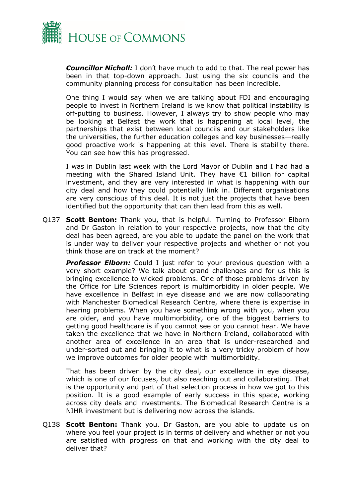

*Councillor Nicholl:* I don't have much to add to that. The real power has been in that top-down approach. Just using the six councils and the community planning process for consultation has been incredible.

One thing I would say when we are talking about FDI and encouraging people to invest in Northern Ireland is we know that political instability is off-putting to business. However, I always try to show people who may be looking at Belfast the work that is happening at local level, the partnerships that exist between local councils and our stakeholders like the universities, the further education colleges and key businesses—really good proactive work is happening at this level. There is stability there. You can see how this has progressed.

I was in Dublin last week with the Lord Mayor of Dublin and I had had a meeting with the Shared Island Unit. They have €1 billion for capital investment, and they are very interested in what is happening with our city deal and how they could potentially link in. Different organisations are very conscious of this deal. It is not just the projects that have been identified but the opportunity that can then lead from this as well.

Q137 **Scott Benton:** Thank you, that is helpful. Turning to Professor Elborn and Dr Gaston in relation to your respective projects, now that the city deal has been agreed, are you able to update the panel on the work that is under way to deliver your respective projects and whether or not you think those are on track at the moment?

**Professor Elborn:** Could I just refer to your previous question with a very short example? We talk about grand challenges and for us this is bringing excellence to wicked problems. One of those problems driven by the Office for Life Sciences report is multimorbidity in older people. We have excellence in Belfast in eye disease and we are now collaborating with Manchester Biomedical Research Centre, where there is expertise in hearing problems. When you have something wrong with you, when you are older, and you have multimorbidity, one of the biggest barriers to getting good healthcare is if you cannot see or you cannot hear. We have taken the excellence that we have in Northern Ireland, collaborated with another area of excellence in an area that is under-researched and under-sorted out and bringing it to what is a very tricky problem of how we improve outcomes for older people with multimorbidity.

That has been driven by the city deal, our excellence in eye disease, which is one of our focuses, but also reaching out and collaborating. That is the opportunity and part of that selection process in how we got to this position. It is a good example of early success in this space, working across city deals and investments. The Biomedical Research Centre is a NIHR investment but is delivering now across the islands.

Q138 **Scott Benton:** Thank you. Dr Gaston, are you able to update us on where you feel your project is in terms of delivery and whether or not you are satisfied with progress on that and working with the city deal to deliver that?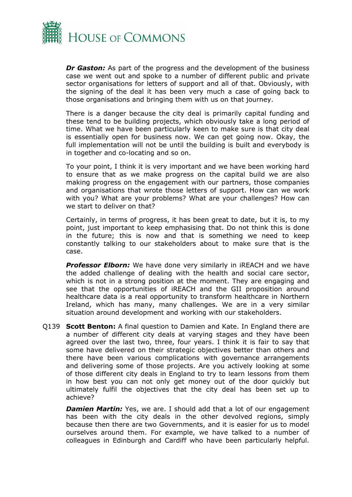

*Dr Gaston:* As part of the progress and the development of the business case we went out and spoke to a number of different public and private sector organisations for letters of support and all of that. Obviously, with the signing of the deal it has been very much a case of going back to those organisations and bringing them with us on that journey.

There is a danger because the city deal is primarily capital funding and these tend to be building projects, which obviously take a long period of time. What we have been particularly keen to make sure is that city deal is essentially open for business now. We can get going now. Okay, the full implementation will not be until the building is built and everybody is in together and co-locating and so on.

To your point, I think it is very important and we have been working hard to ensure that as we make progress on the capital build we are also making progress on the engagement with our partners, those companies and organisations that wrote those letters of support. How can we work with you? What are your problems? What are your challenges? How can we start to deliver on that?

Certainly, in terms of progress, it has been great to date, but it is, to my point, just important to keep emphasising that. Do not think this is done in the future; this is now and that is something we need to keep constantly talking to our stakeholders about to make sure that is the case.

**Professor Elborn:** We have done very similarly in iREACH and we have the added challenge of dealing with the health and social care sector, which is not in a strong position at the moment. They are engaging and see that the opportunities of iREACH and the GII proposition around healthcare data is a real opportunity to transform healthcare in Northern Ireland, which has many, many challenges. We are in a very similar situation around development and working with our stakeholders.

Q139 **Scott Benton:** A final question to Damien and Kate. In England there are a number of different city deals at varying stages and they have been agreed over the last two, three, four years. I think it is fair to say that some have delivered on their strategic objectives better than others and there have been various complications with governance arrangements and delivering some of those projects. Are you actively looking at some of those different city deals in England to try to learn lessons from them in how best you can not only get money out of the door quickly but ultimately fulfil the objectives that the city deal has been set up to achieve?

**Damien Martin:** Yes, we are. I should add that a lot of our engagement has been with the city deals in the other devolved regions, simply because then there are two Governments, and it is easier for us to model ourselves around them. For example, we have talked to a number of colleagues in Edinburgh and Cardiff who have been particularly helpful.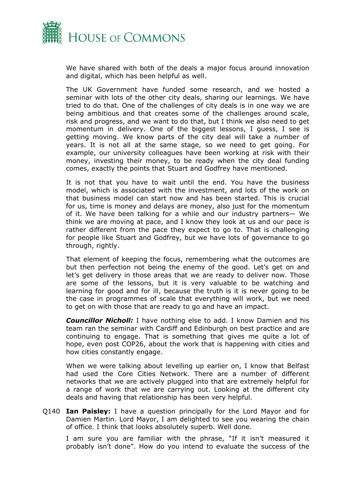

We have shared with both of the deals a major focus around innovation and digital, which has been helpful as well.

The UK Government have funded some research, and we hosted a seminar with lots of the other city deals, sharing our learnings. We have tried to do that. One of the challenges of city deals is in one way we are being ambitious and that creates some of the challenges around scale, risk and progress, and we want to do that, but I think we also need to get momentum in delivery. One of the biggest lessons, I guess, I see is getting moving. We know parts of the city deal will take a number of years. It is not all at the same stage, so we need to get going. For example, our university colleagues have been working at risk with their money, investing their money, to be ready when the city deal funding comes, exactly the points that Stuart and Godfrey have mentioned.

It is not that you have to wait until the end. You have the business model, which is associated with the investment, and lots of the work on that business model can start now and has been started. This is crucial for us, time is money and delays are money, also just for the momentum of it. We have been talking for a while and our industry partners— We think we are moving at pace, and I know they look at us and our pace is rather different from the pace they expect to go to. That is challenging for people like Stuart and Godfrey, but we have lots of governance to go through, rightly.

That element of keeping the focus, remembering what the outcomes are but then perfection not being the enemy of the good. Let's get on and let's get delivery in those areas that we are ready to deliver now. Those are some of the lessons, but it is very valuable to be watching and learning for good and for ill, because the truth is it is never going to be the case in programmes of scale that everything will work, but we need to get on with those that are ready to go and have an impact.

*Councillor Nicholl:* I have nothing else to add. I know Damien and his team ran the seminar with Cardiff and Edinburgh on best practice and are continuing to engage. That is something that gives me quite a lot of hope, even post COP26, about the work that is happening with cities and how cities constantly engage.

When we were talking about levelling up earlier on, I know that Belfast had used the Core Cities Network. There are a number of different networks that we are actively plugged into that are extremely helpful for a range of work that we are carrying out. Looking at the different city deals and having that relationship has been very helpful.

Q140 **Ian Paisley:** I have a question principally for the Lord Mayor and for Damien Martin. Lord Mayor, I am delighted to see you wearing the chain of office. I think that looks absolutely superb. Well done.

I am sure you are familiar with the phrase, "If it isn't measured it probably isn't done". How do you intend to evaluate the success of the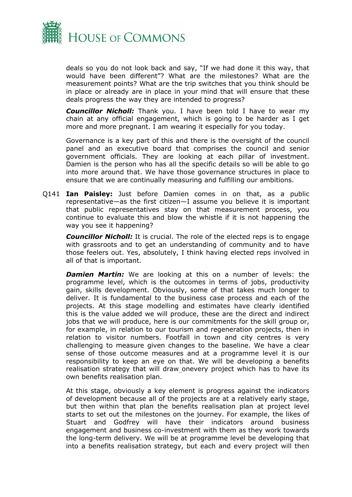

deals so you do not look back and say, "If we had done it this way, that would have been different"? What are the milestones? What are the measurement points? What are the trip switches that you think should be in place or already are in place in your mind that will ensure that these deals progress the way they are intended to progress?

*Councillor Nicholl:* Thank you. I have been told I have to wear my chain at any official engagement, which is going to be harder as I get more and more pregnant. I am wearing it especially for you today.

Governance is a key part of this and there is the oversight of the council panel and an executive board that comprises the council and senior government officials. They are looking at each pillar of investment. Damien is the person who has all the specific details so will be able to go into more around that. We have those governance structures in place to ensure that we are continually measuring and fulfilling our ambitions.

Q141 **Ian Paisley:** Just before Damien comes in on that, as a public representative—as the first citizen—I assume you believe it is important that public representatives stay on that measurement process, you continue to evaluate this and blow the whistle if it is not happening the way you see it happening?

*Councillor Nicholl:* It is crucial. The role of the elected reps is to engage with grassroots and to get an understanding of community and to have those feelers out. Yes, absolutely, I think having elected reps involved in all of that is important.

**Damien Martin:** We are looking at this on a number of levels: the programme level, which is the outcomes in terms of jobs, productivity gain, skills development. Obviously, some of that takes much longer to deliver. It is fundamental to the business case process and each of the projects. At this stage modelling and estimates have clearly identified this is the value added we will produce, these are the direct and indirect jobs that we will produce, here is our commitments for the skill group or, for example, in relation to our tourism and regeneration projects, then in relation to visitor numbers. Footfall in town and city centres is very challenging to measure given changes to the baseline. We have a clear sense of those outcome measures and at a programme level it is our responsibility to keep an eye on that. We will be developing a benefits realisation strategy that will draw onevery project which has to have its own benefits realisation plan.

At this stage, obviously a key element is progress against the indicators of development because all of the projects are at a relatively early stage, but then within that plan the benefits realisation plan at project level starts to set out the milestones on the journey. For example, the likes of Stuart and Godfrey will have their indicators around business engagement and business co-investment with them as they work towards the long-term delivery. We will be at programme level be developing that into a benefits realisation strategy, but each and every project will then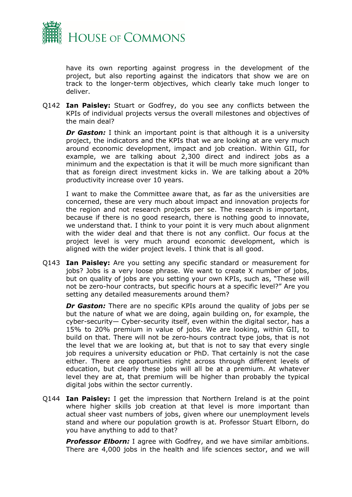

have its own reporting against progress in the development of the project, but also reporting against the indicators that show we are on track to the longer-term objectives, which clearly take much longer to deliver.

Q142 **Ian Paisley:** Stuart or Godfrey, do you see any conflicts between the KPIs of individual projects versus the overall milestones and objectives of the main deal?

*Dr Gaston:* I think an important point is that although it is a university project, the indicators and the KPIs that we are looking at are very much around economic development, impact and job creation. Within GII, for example, we are talking about 2,300 direct and indirect jobs as a minimum and the expectation is that it will be much more significant than that as foreign direct investment kicks in. We are talking about a 20% productivity increase over 10 years.

I want to make the Committee aware that, as far as the universities are concerned, these are very much about impact and innovation projects for the region and not research projects per se. The research is important, because if there is no good research, there is nothing good to innovate, we understand that. I think to your point it is very much about alignment with the wider deal and that there is not any conflict. Our focus at the project level is very much around economic development, which is aligned with the wider project levels. I think that is all good.

Q143 **Ian Paisley:** Are you setting any specific standard or measurement for jobs? Jobs is a very loose phrase. We want to create X number of jobs, but on quality of jobs are you setting your own KPIs, such as, "These will not be zero-hour contracts, but specific hours at a specific level?" Are you setting any detailed measurements around them?

*Dr Gaston:* There are no specific KPIs around the quality of jobs per se but the nature of what we are doing, again building on, for example, the cyber-security— Cyber-security itself, even within the digital sector, has a 15% to 20% premium in value of jobs. We are looking, within GII, to build on that. There will not be zero-hours contract type jobs, that is not the level that we are looking at, but that is not to say that every single job requires a university education or PhD. That certainly is not the case either. There are opportunities right across through different levels of education, but clearly these jobs will all be at a premium. At whatever level they are at, that premium will be higher than probably the typical digital jobs within the sector currently.

Q144 **Ian Paisley:** I get the impression that Northern Ireland is at the point where higher skills job creation at that level is more important than actual sheer vast numbers of jobs, given where our unemployment levels stand and where our population growth is at. Professor Stuart Elborn, do you have anything to add to that?

**Professor Elborn:** I agree with Godfrey, and we have similar ambitions. There are 4,000 jobs in the health and life sciences sector, and we will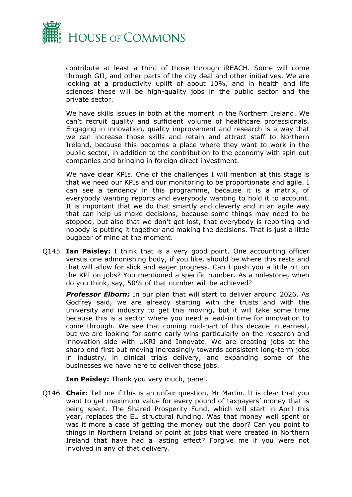

contribute at least a third of those through iREACH. Some will come through GII, and other parts of the city deal and other initiatives. We are looking at a productivity uplift of about 10%, and in health and life sciences these will be high-quality jobs in the public sector and the private sector.

We have skills issues in both at the moment in the Northern Ireland. We can't recruit quality and sufficient volume of healthcare professionals. Engaging in innovation, quality improvement and research is a way that we can increase those skills and retain and attract staff to Northern Ireland, because this becomes a place where they want to work in the public sector, in addition to the contribution to the economy with spin-out companies and bringing in foreign direct investment.

We have clear KPIs. One of the challenges I will mention at this stage is that we need our KPIs and our monitoring to be proportionate and agile. I can see a tendency in this programme, because it is a matrix, of everybody wanting reports and everybody wanting to hold it to account. It is important that we do that smartly and cleverly and in an agile way that can help us make decisions, because some things may need to be stopped, but also that we don't get lost, that everybody is reporting and nobody is putting it together and making the decisions. That is just a little bugbear of mine at the moment.

Q145 **Ian Paisley:** I think that is a very good point. One accounting officer versus one admonishing body, if you like, should be where this rests and that will allow for slick and eager progress. Can I push you a little bit on the KPI on jobs? You mentioned a specific number. As a milestone, when do you think, say, 50% of that number will be achieved?

*Professor Elborn:* In our plan that will start to deliver around 2026. As Godfrey said, we are already starting with the trusts and with the university and industry to get this moving, but it will take some time because this is a sector where you need a lead-in time for innovation to come through. We see that coming mid-part of this decade in earnest, but we are looking for some early wins particularly on the research and innovation side with UKRI and Innovate. We are creating jobs at the sharp end first but moving increasingly towards consistent long-term jobs in industry, in clinical trials delivery, and expanding some of the businesses we have here to deliver those jobs.

**Ian Paisley:** Thank you very much, panel.

Q146 **Chair:** Tell me if this is an unfair question, Mr Martin. It is clear that you want to get maximum value for every pound of taxpayers' money that is being spent. The Shared Prosperity Fund, which will start in April this year, replaces the EU structural funding. Was that money well spent or was it more a case of getting the money out the door? Can you point to things in Northern Ireland or point at jobs that were created in Northern Ireland that have had a lasting effect? Forgive me if you were not involved in any of that delivery.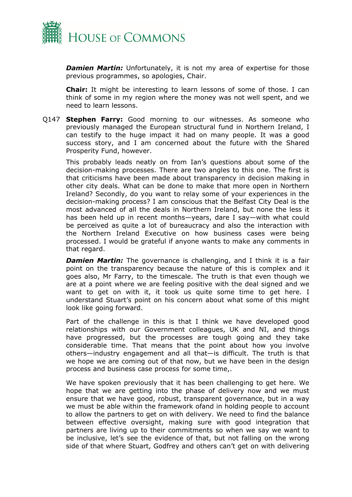

*Damien Martin:* Unfortunately, it is not my area of expertise for those previous programmes, so apologies, Chair.

**Chair:** It might be interesting to learn lessons of some of those. I can think of some in my region where the money was not well spent, and we need to learn lessons.

Q147 **Stephen Farry:** Good morning to our witnesses. As someone who previously managed the European structural fund in Northern Ireland, I can testify to the huge impact it had on many people. It was a good success story, and I am concerned about the future with the Shared Prosperity Fund, however.

This probably leads neatly on from Ian's questions about some of the decision-making processes. There are two angles to this one. The first is that criticisms have been made about transparency in decision making in other city deals. What can be done to make that more open in Northern Ireland? Secondly, do you want to relay some of your experiences in the decision-making process? I am conscious that the Belfast City Deal is the most advanced of all the deals in Northern Ireland, but none the less it has been held up in recent months—years, dare I say—with what could be perceived as quite a lot of bureaucracy and also the interaction with the Northern Ireland Executive on how business cases were being processed. I would be grateful if anyone wants to make any comments in that regard.

*Damien Martin:* The governance is challenging, and I think it is a fair point on the transparency because the nature of this is complex and it goes also, Mr Farry, to the timescale. The truth is that even though we are at a point where we are feeling positive with the deal signed and we want to get on with it, it took us quite some time to get here. I understand Stuart's point on his concern about what some of this might look like going forward.

Part of the challenge in this is that I think we have developed good relationships with our Government colleagues, UK and NI, and things have progressed, but the processes are tough going and they take considerable time. That means that the point about how you involve others—industry engagement and all that—is difficult. The truth is that we hope we are coming out of that now, but we have been in the design process and business case process for some time,.

We have spoken previously that it has been challenging to get here. We hope that we are getting into the phase of delivery now and we must ensure that we have good, robust, transparent governance, but in a way we must be able within the framework ofand in holding people to account to allow the partners to get on with delivery. We need to find the balance between effective oversight, making sure with good integration that partners are living up to their commitments so when we say we want to be inclusive, let's see the evidence of that, but not falling on the wrong side of that where Stuart, Godfrey and others can't get on with delivering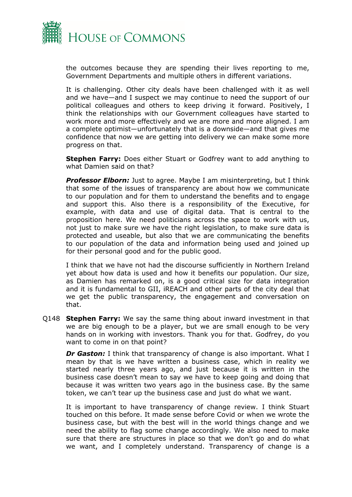

the outcomes because they are spending their lives reporting to me, Government Departments and multiple others in different variations.

It is challenging. Other city deals have been challenged with it as well and we have—and I suspect we may continue to need the support of our political colleagues and others to keep driving it forward. Positively, I think the relationships with our Government colleagues have started to work more and more effectively and we are more and more aligned. I am a complete optimist—unfortunately that is a downside—and that gives me confidence that now we are getting into delivery we can make some more progress on that.

**Stephen Farry:** Does either Stuart or Godfrey want to add anything to what Damien said on that?

*Professor Elborn:* Just to agree. Maybe I am misinterpreting, but I think that some of the issues of transparency are about how we communicate to our population and for them to understand the benefits and to engage and support this. Also there is a responsibility of the Executive, for example, with data and use of digital data. That is central to the proposition here. We need politicians across the space to work with us, not just to make sure we have the right legislation, to make sure data is protected and useable, but also that we are communicating the benefits to our population of the data and information being used and joined up for their personal good and for the public good.

I think that we have not had the discourse sufficiently in Northern Ireland yet about how data is used and how it benefits our population. Our size, as Damien has remarked on, is a good critical size for data integration and it is fundamental to GII, iREACH and other parts of the city deal that we get the public transparency, the engagement and conversation on that.

Q148 **Stephen Farry:** We say the same thing about inward investment in that we are big enough to be a player, but we are small enough to be very hands on in working with investors. Thank you for that. Godfrey, do you want to come in on that point?

**Dr Gaston:** I think that transparency of change is also important. What I mean by that is we have written a business case, which in reality we started nearly three years ago, and just because it is written in the business case doesn't mean to say we have to keep going and doing that because it was written two years ago in the business case. By the same token, we can't tear up the business case and just do what we want.

It is important to have transparency of change review. I think Stuart touched on this before. It made sense before Covid or when we wrote the business case, but with the best will in the world things change and we need the ability to flag some change accordingly. We also need to make sure that there are structures in place so that we don't go and do what we want, and I completely understand. Transparency of change is a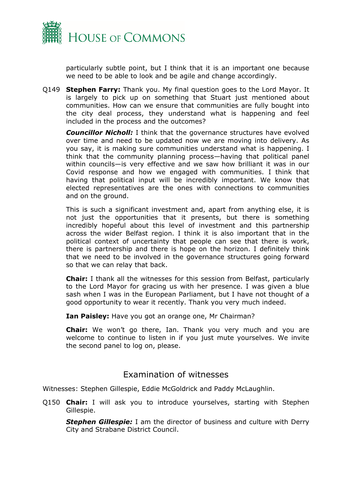

particularly subtle point, but I think that it is an important one because we need to be able to look and be agile and change accordingly.

Q149 **Stephen Farry:** Thank you. My final question goes to the Lord Mayor. It is largely to pick up on something that Stuart just mentioned about communities. How can we ensure that communities are fully bought into the city deal process, they understand what is happening and feel included in the process and the outcomes?

*Councillor Nicholl:* I think that the governance structures have evolved over time and need to be updated now we are moving into delivery. As you say, it is making sure communities understand what is happening. I think that the community planning process—having that political panel within councils—is very effective and we saw how brilliant it was in our Covid response and how we engaged with communities. I think that having that political input will be incredibly important. We know that elected representatives are the ones with connections to communities and on the ground.

This is such a significant investment and, apart from anything else, it is not just the opportunities that it presents, but there is something incredibly hopeful about this level of investment and this partnership across the wider Belfast region. I think it is also important that in the political context of uncertainty that people can see that there is work, there is partnership and there is hope on the horizon. I definitely think that we need to be involved in the governance structures going forward so that we can relay that back.

**Chair:** I thank all the witnesses for this session from Belfast, particularly to the Lord Mayor for gracing us with her presence. I was given a blue sash when I was in the European Parliament, but I have not thought of a good opportunity to wear it recently. Thank you very much indeed.

**Ian Paisley:** Have you got an orange one, Mr Chairman?

**Chair:** We won't go there, Ian. Thank you very much and you are welcome to continue to listen in if you just mute yourselves. We invite the second panel to log on, please.

### <span id="page-18-0"></span>Examination of witnesses

Witnesses: Stephen Gillespie, Eddie McGoldrick and Paddy McLaughlin.

Q150 **Chair:** I will ask you to introduce yourselves, starting with Stephen Gillespie.

*Stephen Gillespie:* I am the director of business and culture with Derry City and Strabane District Council.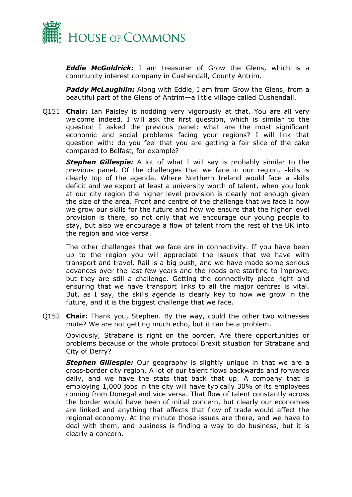

*Eddie McGoldrick:* I am treasurer of Grow the Glens, which is a community interest company in Cushendall, County Antrim.

**Paddy McLaughlin:** Along with Eddie, I am from Grow the Glens, from a beautiful part of the Glens of Antrim—a little village called Cushendall.

Q151 **Chair:** Ian Paisley is nodding very vigorously at that. You are all very welcome indeed. I will ask the first question, which is similar to the question I asked the previous panel: what are the most significant economic and social problems facing your regions? I will link that question with: do you feel that you are getting a fair slice of the cake compared to Belfast, for example?

**Stephen Gillespie:** A lot of what I will say is probably similar to the previous panel. Of the challenges that we face in our region, skills is clearly top of the agenda. Where Northern Ireland would face a skills deficit and we export at least a university worth of talent, when you look at our city region the higher level provision is clearly not enough given the size of the area. Front and centre of the challenge that we face is how we grow our skills for the future and how we ensure that the higher level provision is there, so not only that we encourage our young people to stay, but also we encourage a flow of talent from the rest of the UK into the region and vice versa.

The other challenges that we face are in connectivity. If you have been up to the region you will appreciate the issues that we have with transport and travel. Rail is a big push, and we have made some serious advances over the last few years and the roads are starting to improve, but they are still a challenge. Getting the connectivity piece right and ensuring that we have transport links to all the major centres is vital. But, as I say, the skills agenda is clearly key to how we grow in the future, and it is the biggest challenge that we face.

Q152 **Chair:** Thank you, Stephen. By the way, could the other two witnesses mute? We are not getting much echo, but it can be a problem.

Obviously, Strabane is right on the border. Are there opportunities or problems because of the whole protocol Brexit situation for Strabane and City of Derry?

*Stephen Gillespie:* Our geography is slightly unique in that we are a cross-border city region. A lot of our talent flows backwards and forwards daily, and we have the stats that back that up. A company that is employing 1,000 jobs in the city will have typically 30% of its employees coming from Donegal and vice versa. That flow of talent constantly across the border would have been of initial concern, but clearly our economies are linked and anything that affects that flow of trade would affect the regional economy. At the minute those issues are there, and we have to deal with them, and business is finding a way to do business, but it is clearly a concern.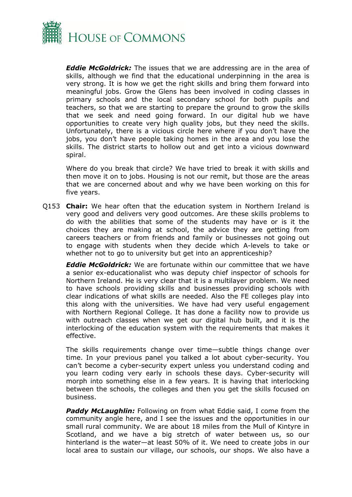

*Eddie McGoldrick:* The issues that we are addressing are in the area of skills, although we find that the educational underpinning in the area is very strong. It is how we get the right skills and bring them forward into meaningful jobs. Grow the Glens has been involved in coding classes in primary schools and the local secondary school for both pupils and teachers, so that we are starting to prepare the ground to grow the skills that we seek and need going forward. In our digital hub we have opportunities to create very high quality jobs, but they need the skills. Unfortunately, there is a vicious circle here where if you don't have the jobs, you don't have people taking homes in the area and you lose the skills. The district starts to hollow out and get into a vicious downward spiral.

Where do you break that circle? We have tried to break it with skills and then move it on to jobs. Housing is not our remit, but those are the areas that we are concerned about and why we have been working on this for five years.

Q153 **Chair:** We hear often that the education system in Northern Ireland is very good and delivers very good outcomes. Are these skills problems to do with the abilities that some of the students may have or is it the choices they are making at school, the advice they are getting from careers teachers or from friends and family or businesses not going out to engage with students when they decide which A-levels to take or whether not to go to university but get into an apprenticeship?

*Eddie McGoldrick:* We are fortunate within our committee that we have a senior ex-educationalist who was deputy chief inspector of schools for Northern Ireland. He is very clear that it is a multilayer problem. We need to have schools providing skills and businesses providing schools with clear indications of what skills are needed. Also the FE colleges play into this along with the universities. We have had very useful engagement with Northern Regional College. It has done a facility now to provide us with outreach classes when we get our digital hub built, and it is the interlocking of the education system with the requirements that makes it effective.

The skills requirements change over time—subtle things change over time. In your previous panel you talked a lot about cyber-security. You can't become a cyber-security expert unless you understand coding and you learn coding very early in schools these days. Cyber-security will morph into something else in a few years. It is having that interlocking between the schools, the colleges and then you get the skills focused on business.

*Paddy McLaughlin:* Following on from what Eddie said, I come from the community angle here, and I see the issues and the opportunities in our small rural community. We are about 18 miles from the Mull of Kintyre in Scotland, and we have a big stretch of water between us, so our hinterland is the water—at least 50% of it. We need to create jobs in our local area to sustain our village, our schools, our shops. We also have a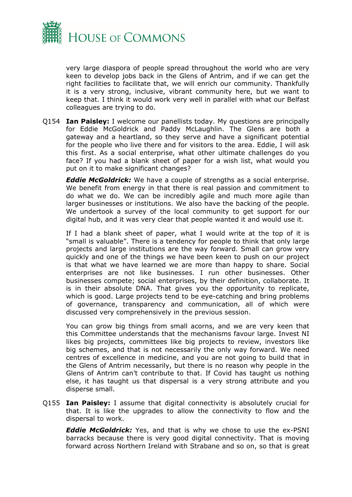

very large diaspora of people spread throughout the world who are very keen to develop jobs back in the Glens of Antrim, and if we can get the right facilities to facilitate that, we will enrich our community. Thankfully it is a very strong, inclusive, vibrant community here, but we want to keep that. I think it would work very well in parallel with what our Belfast colleagues are trying to do.

Q154 **Ian Paisley:** I welcome our panellists today. My questions are principally for Eddie McGoldrick and Paddy McLaughlin. The Glens are both a gateway and a heartland, so they serve and have a significant potential for the people who live there and for visitors to the area. Eddie, I will ask this first. As a social enterprise, what other ultimate challenges do you face? If you had a blank sheet of paper for a wish list, what would you put on it to make significant changes?

*Eddie McGoldrick:* We have a couple of strengths as a social enterprise. We benefit from energy in that there is real passion and commitment to do what we do. We can be incredibly agile and much more agile than larger businesses or institutions. We also have the backing of the people. We undertook a survey of the local community to get support for our digital hub, and it was very clear that people wanted it and would use it.

If I had a blank sheet of paper, what I would write at the top of it is "small is valuable". There is a tendency for people to think that only large projects and large institutions are the way forward. Small can grow very quickly and one of the things we have been keen to push on our project is that what we have learned we are more than happy to share. Social enterprises are not like businesses. I run other businesses. Other businesses compete; social enterprises, by their definition, collaborate. It is in their absolute DNA. That gives you the opportunity to replicate, which is good. Large projects tend to be eye-catching and bring problems of governance, transparency and communication, all of which were discussed very comprehensively in the previous session.

You can grow big things from small acorns, and we are very keen that this Committee understands that the mechanisms favour large. Invest NI likes big projects, committees like big projects to review, investors like big schemes, and that is not necessarily the only way forward. We need centres of excellence in medicine, and you are not going to build that in the Glens of Antrim necessarily, but there is no reason why people in the Glens of Antrim can't contribute to that. If Covid has taught us nothing else, it has taught us that dispersal is a very strong attribute and you disperse small.

Q155 **Ian Paisley:** I assume that digital connectivity is absolutely crucial for that. It is like the upgrades to allow the connectivity to flow and the dispersal to work.

*Eddie McGoldrick:* Yes, and that is why we chose to use the ex-PSNI barracks because there is very good digital connectivity. That is moving forward across Northern Ireland with Strabane and so on, so that is great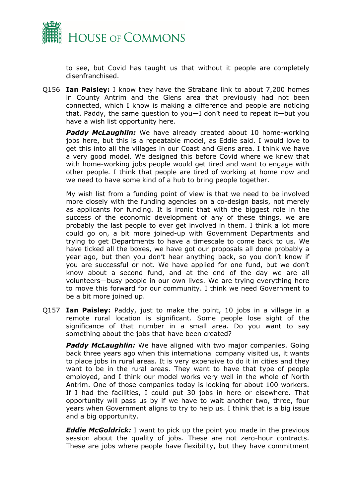

to see, but Covid has taught us that without it people are completely disenfranchised.

Q156 **Ian Paisley:** I know they have the Strabane link to about 7,200 homes in County Antrim and the Glens area that previously had not been connected, which I know is making a difference and people are noticing that. Paddy, the same question to you—I don't need to repeat it—but you have a wish list opportunity here.

*Paddy McLaughlin:* We have already created about 10 home-working jobs here, but this is a repeatable model, as Eddie said. I would love to get this into all the villages in our Coast and Glens area. I think we have a very good model. We designed this before Covid where we knew that with home-working jobs people would get tired and want to engage with other people. I think that people are tired of working at home now and we need to have some kind of a hub to bring people together.

My wish list from a funding point of view is that we need to be involved more closely with the funding agencies on a co-design basis, not merely as applicants for funding. It is ironic that with the biggest role in the success of the economic development of any of these things, we are probably the last people to ever get involved in them. I think a lot more could go on, a bit more joined-up with Government Departments and trying to get Departments to have a timescale to come back to us. We have ticked all the boxes, we have got our proposals all done probably a year ago, but then you don't hear anything back, so you don't know if you are successful or not. We have applied for one fund, but we don't know about a second fund, and at the end of the day we are all volunteers—busy people in our own lives. We are trying everything here to move this forward for our community. I think we need Government to be a bit more joined up.

Q157 **Ian Paisley:** Paddy, just to make the point, 10 jobs in a village in a remote rural location is significant. Some people lose sight of the significance of that number in a small area. Do you want to say something about the jobs that have been created?

**Paddy McLaughlin:** We have aligned with two major companies. Going back three years ago when this international company visited us, it wants to place jobs in rural areas. It is very expensive to do it in cities and they want to be in the rural areas. They want to have that type of people employed, and I think our model works very well in the whole of North Antrim. One of those companies today is looking for about 100 workers. If I had the facilities, I could put 30 jobs in here or elsewhere. That opportunity will pass us by if we have to wait another two, three, four years when Government aligns to try to help us. I think that is a big issue and a big opportunity.

*Eddie McGoldrick:* I want to pick up the point you made in the previous session about the quality of jobs. These are not zero-hour contracts. These are jobs where people have flexibility, but they have commitment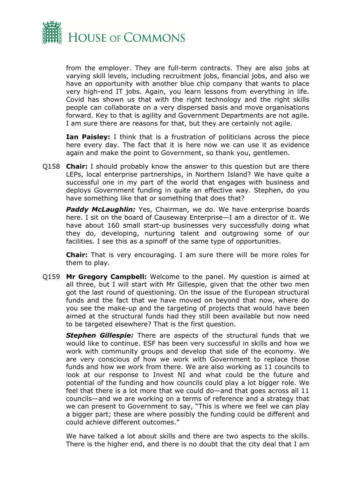

from the employer. They are full-term contracts. They are also jobs at varying skill levels, including recruitment jobs, financial jobs, and also we have an opportunity with another blue chip company that wants to place very high-end IT jobs. Again, you learn lessons from everything in life. Covid has shown us that with the right technology and the right skills people can collaborate on a very dispersed basis and move organisations forward. Key to that is agility and Government Departments are not agile. I am sure there are reasons for that, but they are certainly not agile.

**Ian Paisley:** I think that is a frustration of politicians across the piece here every day. The fact that it is here now we can use it as evidence again and make the point to Government, so thank you, gentlemen.

Q158 **Chair:** I should probably know the answer to this question but are there LEPs, local enterprise partnerships, in Northern Island? We have quite a successful one in my part of the world that engages with business and deploys Government funding in quite an effective way. Stephen, do you have something like that or something that does that?

*Paddy McLaughlin:* Yes, Chairman, we do. We have enterprise boards here. I sit on the board of Causeway Enterprise—I am a director of it. We have about 160 small start-up businesses very successfully doing what they do, developing, nurturing talent and outgrowing some of our facilities. I see this as a spinoff of the same type of opportunities.

**Chair:** That is very encouraging. I am sure there will be more roles for them to play.

Q159 **Mr Gregory Campbell:** Welcome to the panel. My question is aimed at all three, but I will start with Mr Gillespie, given that the other two men got the last round of questioning. On the issue of the European structural funds and the fact that we have moved on beyond that now, where do you see the make-up and the targeting of projects that would have been aimed at the structural funds had they still been available but now need to be targeted elsewhere? That is the first question.

*Stephen Gillespie:* There are aspects of the structural funds that we would like to continue. ESF has been very successful in skills and how we work with community groups and develop that side of the economy. We are very conscious of how we work with Government to replace those funds and how we work from there. We are also working as 11 councils to look at our response to Invest NI and what could be the future and potential of the funding and how councils could play a lot bigger role. We feel that there is a lot more that we could do—and that goes across all 11 councils—and we are working on a terms of reference and a strategy that we can present to Government to say, "This is where we feel we can play a bigger part; these are where possibly the funding could be different and could achieve different outcomes."

We have talked a lot about skills and there are two aspects to the skills. There is the higher end, and there is no doubt that the city deal that I am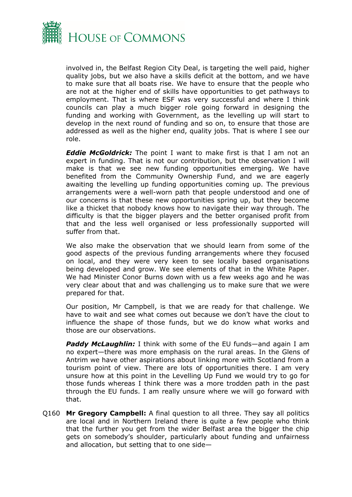

involved in, the Belfast Region City Deal, is targeting the well paid, higher quality jobs, but we also have a skills deficit at the bottom, and we have to make sure that all boats rise. We have to ensure that the people who are not at the higher end of skills have opportunities to get pathways to employment. That is where ESF was very successful and where I think councils can play a much bigger role going forward in designing the funding and working with Government, as the levelling up will start to develop in the next round of funding and so on, to ensure that those are addressed as well as the higher end, quality jobs. That is where I see our role.

*Eddie McGoldrick:* The point I want to make first is that I am not an expert in funding. That is not our contribution, but the observation I will make is that we see new funding opportunities emerging. We have benefited from the Community Ownership Fund, and we are eagerly awaiting the levelling up funding opportunities coming up. The previous arrangements were a well-worn path that people understood and one of our concerns is that these new opportunities spring up, but they become like a thicket that nobody knows how to navigate their way through. The difficulty is that the bigger players and the better organised profit from that and the less well organised or less professionally supported will suffer from that.

We also make the observation that we should learn from some of the good aspects of the previous funding arrangements where they focused on local, and they were very keen to see locally based organisations being developed and grow. We see elements of that in the White Paper. We had Minister Conor Burns down with us a few weeks ago and he was very clear about that and was challenging us to make sure that we were prepared for that.

Our position, Mr Campbell, is that we are ready for that challenge. We have to wait and see what comes out because we don't have the clout to influence the shape of those funds, but we do know what works and those are our observations.

*Paddy McLaughlin:* I think with some of the EU funds—and again I am no expert—there was more emphasis on the rural areas. In the Glens of Antrim we have other aspirations about linking more with Scotland from a tourism point of view. There are lots of opportunities there. I am very unsure how at this point in the Levelling Up Fund we would try to go for those funds whereas I think there was a more trodden path in the past through the EU funds. I am really unsure where we will go forward with that.

Q160 **Mr Gregory Campbell:** A final question to all three. They say all politics are local and in Northern Ireland there is quite a few people who think that the further you get from the wider Belfast area the bigger the chip gets on somebody's shoulder, particularly about funding and unfairness and allocation, but setting that to one side—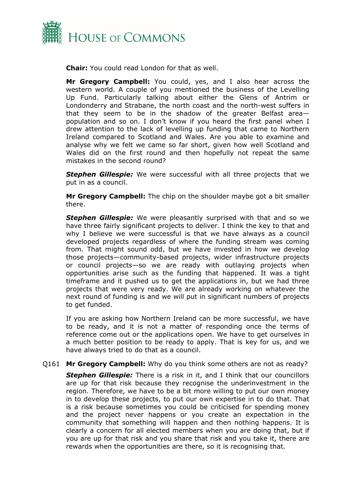

**Chair:** You could read London for that as well.

**Mr Gregory Campbell:** You could, yes, and I also hear across the western world. A couple of you mentioned the business of the Levelling Up Fund. Particularly talking about either the Glens of Antrim or Londonderry and Strabane, the north coast and the north-west suffers in that they seem to be in the shadow of the greater Belfast area population and so on. I don't know if you heard the first panel when I drew attention to the lack of levelling up funding that came to Northern Ireland compared to Scotland and Wales. Are you able to examine and analyse why we felt we came so far short, given how well Scotland and Wales did on the first round and then hopefully not repeat the same mistakes in the second round?

*Stephen Gillespie:* We were successful with all three projects that we put in as a council.

**Mr Gregory Campbell:** The chip on the shoulder maybe got a bit smaller there.

**Stephen Gillespie:** We were pleasantly surprised with that and so we have three fairly significant projects to deliver. I think the key to that and why I believe we were successful is that we have always as a council developed projects regardless of where the funding stream was coming from. That might sound odd, but we have invested in how we develop those projects—community-based projects, wider infrastructure projects or council projects—so we are ready with outlaying projects when opportunities arise such as the funding that happened. It was a tight timeframe and it pushed us to get the applications in, but we had three projects that were very ready. We are already working on whatever the next round of funding is and we will put in significant numbers of projects to get funded.

If you are asking how Northern Ireland can be more successful, we have to be ready, and it is not a matter of responding once the terms of reference come out or the applications open. We have to get ourselves in a much better position to be ready to apply. That is key for us, and we have always tried to do that as a council.

#### Q161 **Mr Gregory Campbell:** Why do you think some others are not as ready?

*Stephen Gillespie:* There is a risk in it, and I think that our councillors are up for that risk because they recognise the underinvestment in the region. Therefore, we have to be a bit more willing to put our own money in to develop these projects, to put our own expertise in to do that. That is a risk because sometimes you could be criticised for spending money and the project never happens or you create an expectation in the community that something will happen and then nothing happens. It is clearly a concern for all elected members when you are doing that, but if you are up for that risk and you share that risk and you take it, there are rewards when the opportunities are there, so it is recognising that.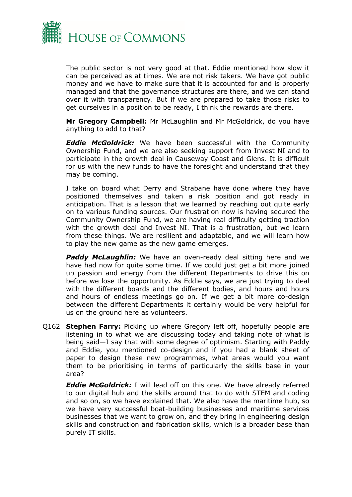

The public sector is not very good at that. Eddie mentioned how slow it can be perceived as at times. We are not risk takers. We have got public money and we have to make sure that it is accounted for and is properly managed and that the governance structures are there, and we can stand over it with transparency. But if we are prepared to take those risks to get ourselves in a position to be ready, I think the rewards are there.

**Mr Gregory Campbell:** Mr McLaughlin and Mr McGoldrick, do you have anything to add to that?

*Eddie McGoldrick:* We have been successful with the Community Ownership Fund, and we are also seeking support from Invest NI and to participate in the growth deal in Causeway Coast and Glens. It is difficult for us with the new funds to have the foresight and understand that they may be coming.

I take on board what Derry and Strabane have done where they have positioned themselves and taken a risk position and got ready in anticipation. That is a lesson that we learned by reaching out quite early on to various funding sources. Our frustration now is having secured the Community Ownership Fund, we are having real difficulty getting traction with the growth deal and Invest NI. That is a frustration, but we learn from these things. We are resilient and adaptable, and we will learn how to play the new game as the new game emerges.

*Paddy McLaughlin:* We have an oven-ready deal sitting here and we have had now for quite some time. If we could just get a bit more joined up passion and energy from the different Departments to drive this on before we lose the opportunity. As Eddie says, we are just trying to deal with the different boards and the different bodies, and hours and hours and hours of endless meetings go on. If we get a bit more co-design between the different Departments it certainly would be very helpful for us on the ground here as volunteers.

Q162 **Stephen Farry:** Picking up where Gregory left off, hopefully people are listening in to what we are discussing today and taking note of what is being said—I say that with some degree of optimism. Starting with Paddy and Eddie, you mentioned co-design and if you had a blank sheet of paper to design these new programmes, what areas would you want them to be prioritising in terms of particularly the skills base in your area?

*Eddie McGoldrick:* I will lead off on this one. We have already referred to our digital hub and the skills around that to do with STEM and coding and so on, so we have explained that. We also have the maritime hub, so we have very successful boat-building businesses and maritime services businesses that we want to grow on, and they bring in engineering design skills and construction and fabrication skills, which is a broader base than purely IT skills.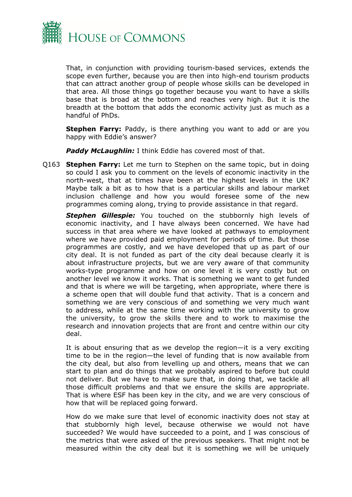

That, in conjunction with providing tourism-based services, extends the scope even further, because you are then into high-end tourism products that can attract another group of people whose skills can be developed in that area. All those things go together because you want to have a skills base that is broad at the bottom and reaches very high. But it is the breadth at the bottom that adds the economic activity just as much as a handful of PhDs.

**Stephen Farry:** Paddy, is there anything you want to add or are you happy with Eddie's answer?

*Paddy McLaughlin:* I think Eddie has covered most of that.

Q163 **Stephen Farry:** Let me turn to Stephen on the same topic, but in doing so could I ask you to comment on the levels of economic inactivity in the north-west, that at times have been at the highest levels in the UK? Maybe talk a bit as to how that is a particular skills and labour market inclusion challenge and how you would foresee some of the new programmes coming along, trying to provide assistance in that regard.

*Stephen Gillespie:* You touched on the stubbornly high levels of economic inactivity, and I have always been concerned. We have had success in that area where we have looked at pathways to employment where we have provided paid employment for periods of time. But those programmes are costly, and we have developed that up as part of our city deal. It is not funded as part of the city deal because clearly it is about infrastructure projects, but we are very aware of that community works-type programme and how on one level it is very costly but on another level we know it works. That is something we want to get funded and that is where we will be targeting, when appropriate, where there is a scheme open that will double fund that activity. That is a concern and something we are very conscious of and something we very much want to address, while at the same time working with the university to grow the university, to grow the skills there and to work to maximise the research and innovation projects that are front and centre within our city deal.

It is about ensuring that as we develop the region—it is a very exciting time to be in the region—the level of funding that is now available from the city deal, but also from levelling up and others, means that we can start to plan and do things that we probably aspired to before but could not deliver. But we have to make sure that, in doing that, we tackle all those difficult problems and that we ensure the skills are appropriate. That is where ESF has been key in the city, and we are very conscious of how that will be replaced going forward.

How do we make sure that level of economic inactivity does not stay at that stubbornly high level, because otherwise we would not have succeeded? We would have succeeded to a point, and I was conscious of the metrics that were asked of the previous speakers. That might not be measured within the city deal but it is something we will be uniquely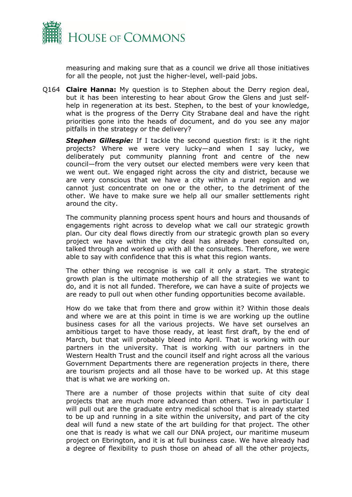

measuring and making sure that as a council we drive all those initiatives for all the people, not just the higher-level, well-paid jobs.

Q164 **Claire Hanna:** My question is to Stephen about the Derry region deal, but it has been interesting to hear about Grow the Glens and just selfhelp in regeneration at its best. Stephen, to the best of your knowledge, what is the progress of the Derry City Strabane deal and have the right priorities gone into the heads of document, and do you see any major pitfalls in the strategy or the delivery?

*Stephen Gillespie:* If I tackle the second question first: is it the right projects? Where we were very lucky—and when I say lucky, we deliberately put community planning front and centre of the new council—from the very outset our elected members were very keen that we went out. We engaged right across the city and district, because we are very conscious that we have a city within a rural region and we cannot just concentrate on one or the other, to the detriment of the other. We have to make sure we help all our smaller settlements right around the city.

The community planning process spent hours and hours and thousands of engagements right across to develop what we call our strategic growth plan. Our city deal flows directly from our strategic growth plan so every project we have within the city deal has already been consulted on, talked through and worked up with all the consultees. Therefore, we were able to say with confidence that this is what this region wants.

The other thing we recognise is we call it only a start. The strategic growth plan is the ultimate mothership of all the strategies we want to do, and it is not all funded. Therefore, we can have a suite of projects we are ready to pull out when other funding opportunities become available.

How do we take that from there and grow within it? Within those deals and where we are at this point in time is we are working up the outline business cases for all the various projects. We have set ourselves an ambitious target to have those ready, at least first draft, by the end of March, but that will probably bleed into April. That is working with our partners in the university. That is working with our partners in the Western Health Trust and the council itself and right across all the various Government Departments there are regeneration projects in there, there are tourism projects and all those have to be worked up. At this stage that is what we are working on.

There are a number of those projects within that suite of city deal projects that are much more advanced than others. Two in particular I will pull out are the graduate entry medical school that is already started to be up and running in a site within the university, and part of the city deal will fund a new state of the art building for that project. The other one that is ready is what we call our DNA project, our maritime museum project on Ebrington, and it is at full business case. We have already had a degree of flexibility to push those on ahead of all the other projects,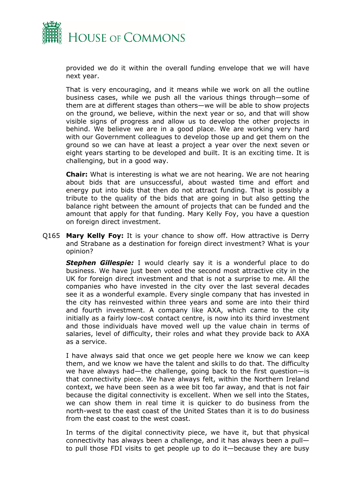

provided we do it within the overall funding envelope that we will have next year.

That is very encouraging, and it means while we work on all the outline business cases, while we push all the various things through—some of them are at different stages than others—we will be able to show projects on the ground, we believe, within the next year or so, and that will show visible signs of progress and allow us to develop the other projects in behind. We believe we are in a good place. We are working very hard with our Government colleagues to develop those up and get them on the ground so we can have at least a project a year over the next seven or eight years starting to be developed and built. It is an exciting time. It is challenging, but in a good way.

**Chair:** What is interesting is what we are not hearing. We are not hearing about bids that are unsuccessful, about wasted time and effort and energy put into bids that then do not attract funding. That is possibly a tribute to the quality of the bids that are going in but also getting the balance right between the amount of projects that can be funded and the amount that apply for that funding. Mary Kelly Foy, you have a question on foreign direct investment.

Q165 **Mary Kelly Foy:** It is your chance to show off. How attractive is Derry and Strabane as a destination for foreign direct investment? What is your opinion?

*Stephen Gillespie:* I would clearly say it is a wonderful place to do business. We have just been voted the second most attractive city in the UK for foreign direct investment and that is not a surprise to me. All the companies who have invested in the city over the last several decades see it as a wonderful example. Every single company that has invested in the city has reinvested within three years and some are into their third and fourth investment. A company like AXA, which came to the city initially as a fairly low-cost contact centre, is now into its third investment and those individuals have moved well up the value chain in terms of salaries, level of difficulty, their roles and what they provide back to AXA as a service.

I have always said that once we get people here we know we can keep them, and we know we have the talent and skills to do that. The difficulty we have always had—the challenge, going back to the first question—is that connectivity piece. We have always felt, within the Northern Ireland context, we have been seen as a wee bit too far away, and that is not fair because the digital connectivity is excellent. When we sell into the States, we can show them in real time it is quicker to do business from the north-west to the east coast of the United States than it is to do business from the east coast to the west coast.

In terms of the digital connectivity piece, we have it, but that physical connectivity has always been a challenge, and it has always been a pull to pull those FDI visits to get people up to do it—because they are busy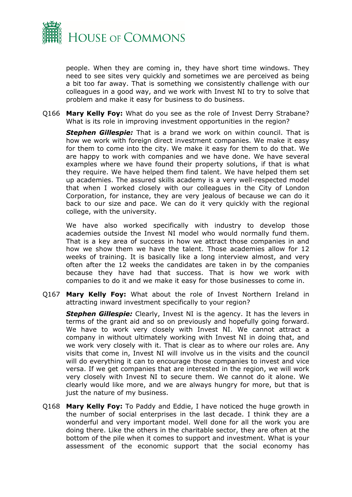

people. When they are coming in, they have short time windows. They need to see sites very quickly and sometimes we are perceived as being a bit too far away. That is something we consistently challenge with our colleagues in a good way, and we work with Invest NI to try to solve that problem and make it easy for business to do business.

Q166 **Mary Kelly Foy:** What do you see as the role of Invest Derry Strabane? What is its role in improving investment opportunities in the region?

*Stephen Gillespie:* That is a brand we work on within council. That is how we work with foreign direct investment companies. We make it easy for them to come into the city. We make it easy for them to do that. We are happy to work with companies and we have done. We have several examples where we have found their property solutions, if that is what they require. We have helped them find talent. We have helped them set up academies. The assured skills academy is a very well-respected model that when I worked closely with our colleagues in the City of London Corporation, for instance, they are very jealous of because we can do it back to our size and pace. We can do it very quickly with the regional college, with the university.

We have also worked specifically with industry to develop those academies outside the Invest NI model who would normally fund them. That is a key area of success in how we attract those companies in and how we show them we have the talent. Those academies allow for 12 weeks of training. It is basically like a long interview almost, and very often after the 12 weeks the candidates are taken in by the companies because they have had that success. That is how we work with companies to do it and we make it easy for those businesses to come in.

Q167 **Mary Kelly Foy:** What about the role of Invest Northern Ireland in attracting inward investment specifically to your region?

*Stephen Gillespie:* Clearly, Invest NI is the agency. It has the levers in terms of the grant aid and so on previously and hopefully going forward. We have to work very closely with Invest NI. We cannot attract a company in without ultimately working with Invest NI in doing that, and we work very closely with it. That is clear as to where our roles are. Any visits that come in, Invest NI will involve us in the visits and the council will do everything it can to encourage those companies to invest and vice versa. If we get companies that are interested in the region, we will work very closely with Invest NI to secure them. We cannot do it alone. We clearly would like more, and we are always hungry for more, but that is just the nature of my business.

Q168 **Mary Kelly Foy:** To Paddy and Eddie, I have noticed the huge growth in the number of social enterprises in the last decade. I think they are a wonderful and very important model. Well done for all the work you are doing there. Like the others in the charitable sector, they are often at the bottom of the pile when it comes to support and investment. What is your assessment of the economic support that the social economy has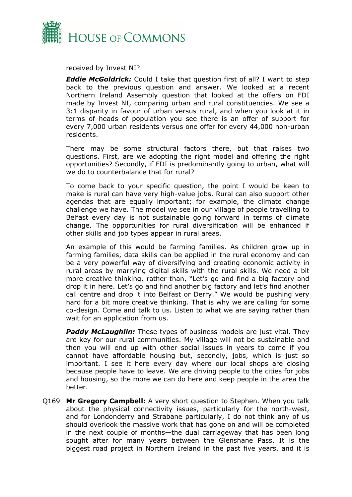

received by Invest NI?

*Eddie McGoldrick:* Could I take that question first of all? I want to step back to the previous question and answer. We looked at a recent Northern Ireland Assembly question that looked at the offers on FDI made by Invest NI, comparing urban and rural constituencies. We see a 3:1 disparity in favour of urban versus rural, and when you look at it in terms of heads of population you see there is an offer of support for every 7,000 urban residents versus one offer for every 44,000 non-urban residents.

There may be some structural factors there, but that raises two questions. First, are we adopting the right model and offering the right opportunities? Secondly, if FDI is predominantly going to urban, what will we do to counterbalance that for rural?

To come back to your specific question, the point I would be keen to make is rural can have very high-value jobs. Rural can also support other agendas that are equally important; for example, the climate change challenge we have. The model we see in our village of people travelling to Belfast every day is not sustainable going forward in terms of climate change. The opportunities for rural diversification will be enhanced if other skills and job types appear in rural areas.

An example of this would be farming families. As children grow up in farming families, data skills can be applied in the rural economy and can be a very powerful way of diversifying and creating economic activity in rural areas by marrying digital skills with the rural skills. We need a bit more creative thinking, rather than, "Let's go and find a big factory and drop it in here. Let's go and find another big factory and let's find another call centre and drop it into Belfast or Derry." We would be pushing very hard for a bit more creative thinking. That is why we are calling for some co-design. Come and talk to us. Listen to what we are saying rather than wait for an application from us.

*Paddy McLaughlin:* These types of business models are just vital. They are key for our rural communities. My village will not be sustainable and then you will end up with other social issues in years to come if you cannot have affordable housing but, secondly, jobs, which is just so important. I see it here every day where our local shops are closing because people have to leave. We are driving people to the cities for jobs and housing, so the more we can do here and keep people in the area the better.

Q169 **Mr Gregory Campbell:** A very short question to Stephen. When you talk about the physical connectivity issues, particularly for the north-west, and for Londonderry and Strabane particularly, I do not think any of us should overlook the massive work that has gone on and will be completed in the next couple of months—the dual carriageway that has been long sought after for many years between the Glenshane Pass. It is the biggest road project in Northern Ireland in the past five years, and it is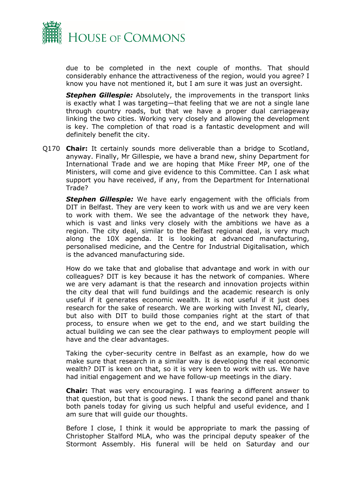

due to be completed in the next couple of months. That should considerably enhance the attractiveness of the region, would you agree? I know you have not mentioned it, but I am sure it was just an oversight.

*Stephen Gillespie:* Absolutely, the improvements in the transport links is exactly what I was targeting—that feeling that we are not a single lane through country roads, but that we have a proper dual carriageway linking the two cities. Working very closely and allowing the development is key. The completion of that road is a fantastic development and will definitely benefit the city.

Q170 **Chair:** It certainly sounds more deliverable than a bridge to Scotland, anyway. Finally, Mr Gillespie, we have a brand new, shiny Department for International Trade and we are hoping that Mike Freer MP, one of the Ministers, will come and give evidence to this Committee. Can I ask what support you have received, if any, from the Department for International Trade?

*Stephen Gillespie:* We have early engagement with the officials from DIT in Belfast. They are very keen to work with us and we are very keen to work with them. We see the advantage of the network they have, which is vast and links very closely with the ambitions we have as a region. The city deal, similar to the Belfast regional deal, is very much along the 10X agenda. It is looking at advanced manufacturing, personalised medicine, and the Centre for Industrial Digitalisation, which is the advanced manufacturing side.

How do we take that and globalise that advantage and work in with our colleagues? DIT is key because it has the network of companies. Where we are very adamant is that the research and innovation projects within the city deal that will fund buildings and the academic research is only useful if it generates economic wealth. It is not useful if it just does research for the sake of research. We are working with Invest NI, clearly, but also with DIT to build those companies right at the start of that process, to ensure when we get to the end, and we start building the actual building we can see the clear pathways to employment people will have and the clear advantages.

Taking the cyber-security centre in Belfast as an example, how do we make sure that research in a similar way is developing the real economic wealth? DIT is keen on that, so it is very keen to work with us. We have had initial engagement and we have follow-up meetings in the diary.

**Chair:** That was very encouraging. I was fearing a different answer to that question, but that is good news. I thank the second panel and thank both panels today for giving us such helpful and useful evidence, and I am sure that will guide our thoughts.

Before I close, I think it would be appropriate to mark the passing of Christopher Stalford MLA, who was the principal deputy speaker of the Stormont Assembly. His funeral will be held on Saturday and our